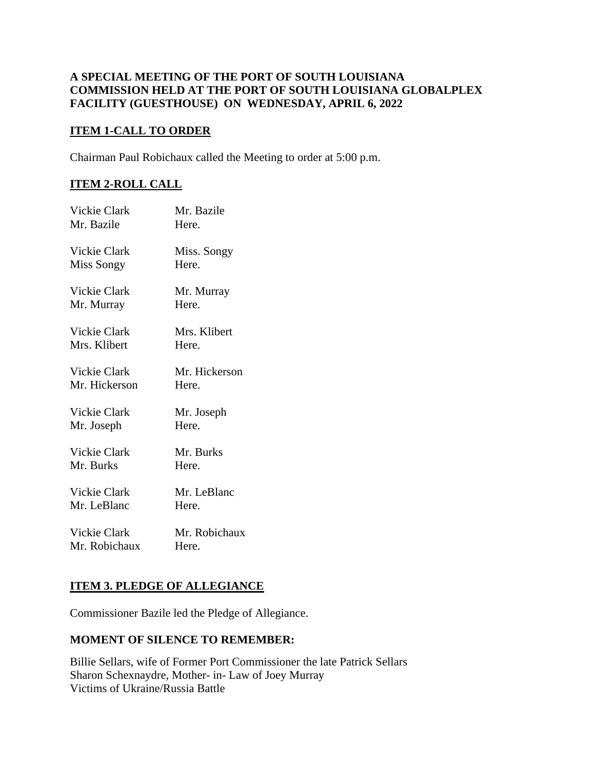## **A SPECIAL MEETING OF THE PORT OF SOUTH LOUISIANA COMMISSION HELD AT THE PORT OF SOUTH LOUISIANA GLOBALPLEX FACILITY (GUESTHOUSE) ON WEDNESDAY, APRIL 6, 2022**

### **ITEM 1-CALL TO ORDER**

Chairman Paul Robichaux called the Meeting to order at 5:00 p.m.

# **ITEM 2-ROLL CALL**

| <b>Vickie Clark</b> | Mr. Bazile    |
|---------------------|---------------|
| Mr. Bazile          | Here.         |
| Vickie Clark        | Miss. Songy   |
| Miss Songy          | Here.         |
| Vickie Clark        | Mr. Murray    |
| Mr. Murray          | Here.         |
| Vickie Clark        | Mrs. Klibert  |
| Mrs. Klibert        | Here.         |
| Vickie Clark        | Mr. Hickerson |
| Mr. Hickerson       | Here.         |
| <b>Vickie Clark</b> | Mr. Joseph    |
| Mr. Joseph          | Here.         |
| Vickie Clark        | Mr. Burks     |
| Mr. Burks           | Here.         |
| Vickie Clark        | Mr. LeBlanc   |
| Mr. LeBlanc         | Here.         |
| Vickie Clark        | Mr. Robichaux |
| Mr. Robichaux       | Here.         |

## **ITEM 3. PLEDGE OF ALLEGIANCE**

Commissioner Bazile led the Pledge of Allegiance.

#### **MOMENT OF SILENCE TO REMEMBER:**

Billie Sellars, wife of Former Port Commissioner the late Patrick Sellars Sharon Schexnaydre, Mother- in- Law of Joey Murray Victims of Ukraine/Russia Battle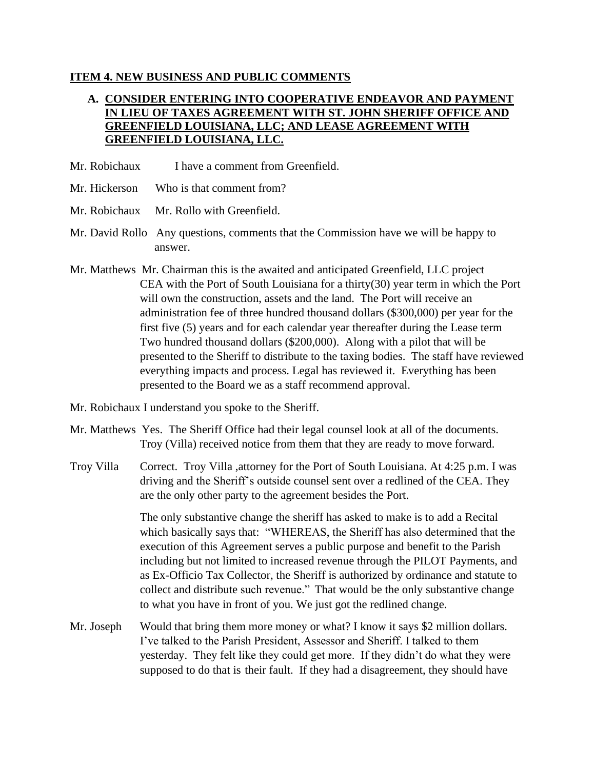### **ITEM 4. NEW BUSINESS AND PUBLIC COMMENTS**

# **A. CONSIDER ENTERING INTO COOPERATIVE ENDEAVOR AND PAYMENT IN LIEU OF TAXES AGREEMENT WITH ST. JOHN SHERIFF OFFICE AND GREENFIELD LOUISIANA, LLC; AND LEASE AGREEMENT WITH GREENFIELD LOUISIANA, LLC.**

- Mr. Robichaux I have a comment from Greenfield.
- Mr. Hickerson Who is that comment from?
- Mr. Robichaux Mr. Rollo with Greenfield.
- Mr. David Rollo Any questions, comments that the Commission have we will be happy to answer.
- Mr. Matthews Mr. Chairman this is the awaited and anticipated Greenfield, LLC project CEA with the Port of South Louisiana for a thirty(30) year term in which the Port will own the construction, assets and the land. The Port will receive an administration fee of three hundred thousand dollars (\$300,000) per year for the first five (5) years and for each calendar year thereafter during the Lease term Two hundred thousand dollars (\$200,000). Along with a pilot that will be presented to the Sheriff to distribute to the taxing bodies. The staff have reviewed everything impacts and process. Legal has reviewed it. Everything has been presented to the Board we as a staff recommend approval.
- Mr. Robichaux I understand you spoke to the Sheriff.
- Mr. Matthews Yes. The Sheriff Office had their legal counsel look at all of the documents. Troy (Villa) received notice from them that they are ready to move forward.
- Troy Villa Correct. Troy Villa ,attorney for the Port of South Louisiana. At 4:25 p.m. I was driving and the Sheriff's outside counsel sent over a redlined of the CEA. They are the only other party to the agreement besides the Port.

The only substantive change the sheriff has asked to make is to add a Recital which basically says that: "WHEREAS, the Sheriff has also determined that the execution of this Agreement serves a public purpose and benefit to the Parish including but not limited to increased revenue through the PILOT Payments, and as Ex-Officio Tax Collector, the Sheriff is authorized by ordinance and statute to collect and distribute such revenue." That would be the only substantive change to what you have in front of you. We just got the redlined change.

Mr. Joseph Would that bring them more money or what? I know it says \$2 million dollars. I've talked to the Parish President, Assessor and Sheriff. I talked to them yesterday. They felt like they could get more. If they didn't do what they were supposed to do that is their fault. If they had a disagreement, they should have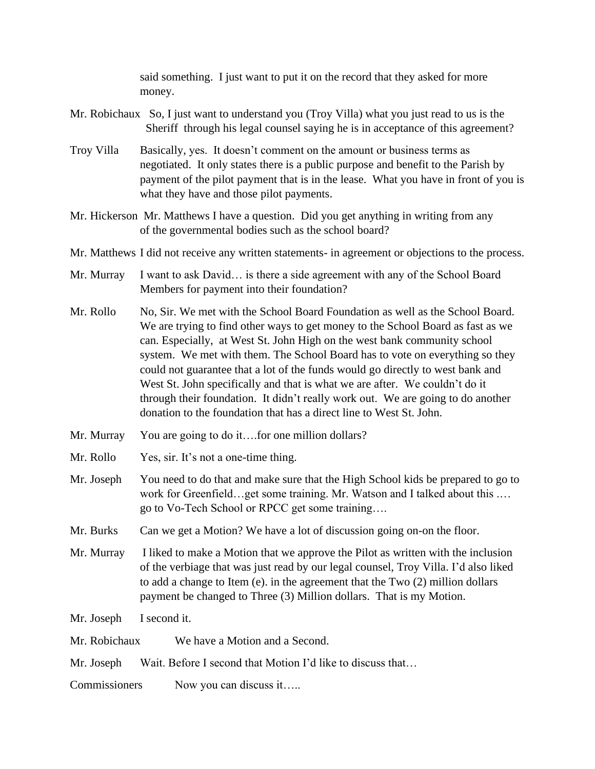said something. I just want to put it on the record that they asked for more money.

- Mr. Robichaux So, I just want to understand you (Troy Villa) what you just read to us is the Sheriff through his legal counsel saying he is in acceptance of this agreement?
- Troy Villa Basically, yes. It doesn't comment on the amount or business terms as negotiated. It only states there is a public purpose and benefit to the Parish by payment of the pilot payment that is in the lease. What you have in front of you is what they have and those pilot payments.
- Mr. Hickerson Mr. Matthews I have a question. Did you get anything in writing from any of the governmental bodies such as the school board?
- Mr. Matthews I did not receive any written statements- in agreement or objections to the process.
- Mr. Murray I want to ask David... is there a side agreement with any of the School Board Members for payment into their foundation?
- Mr. Rollo No, Sir. We met with the School Board Foundation as well as the School Board. We are trying to find other ways to get money to the School Board as fast as we can. Especially, at West St. John High on the west bank community school system. We met with them. The School Board has to vote on everything so they could not guarantee that a lot of the funds would go directly to west bank and West St. John specifically and that is what we are after. We couldn't do it through their foundation. It didn't really work out. We are going to do another donation to the foundation that has a direct line to West St. John.
- Mr. Murray You are going to do it....for one million dollars?
- Mr. Rollo Yes, sir. It's not a one-time thing.
- Mr. Joseph You need to do that and make sure that the High School kids be prepared to go to work for Greenfield…get some training. Mr. Watson and I talked about this .… go to Vo-Tech School or RPCC get some training….
- Mr. Burks Can we get a Motion? We have a lot of discussion going on-on the floor.
- Mr. Murray I liked to make a Motion that we approve the Pilot as written with the inclusion of the verbiage that was just read by our legal counsel, Troy Villa. I'd also liked to add a change to Item (e). in the agreement that the Two (2) million dollars payment be changed to Three (3) Million dollars. That is my Motion.
- Mr. Joseph I second it.

| Mr. Robichaux | We have a Motion and a Second. |
|---------------|--------------------------------|
|               |                                |

- Mr. Joseph Wait. Before I second that Motion I'd like to discuss that...
- Commissioners Now you can discuss it…..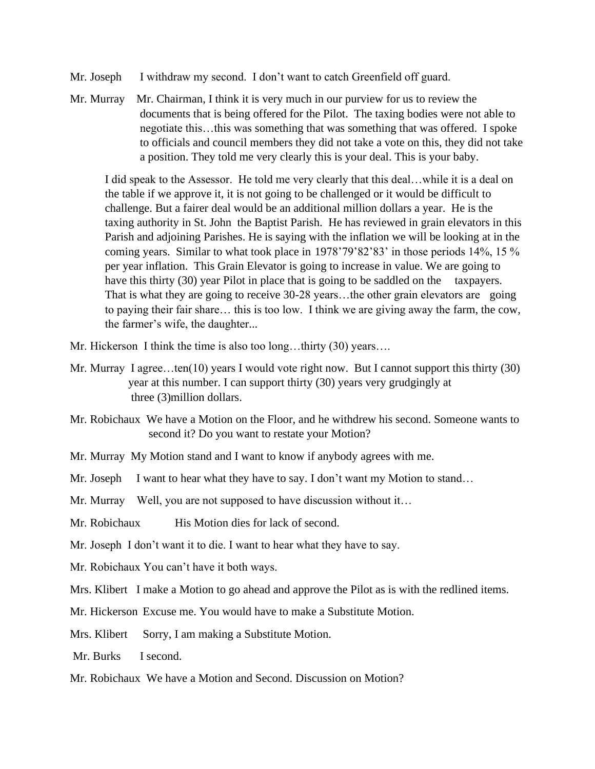- Mr. Joseph I withdraw my second. I don't want to catch Greenfield off guard.
- Mr. Murray Mr. Chairman, I think it is very much in our purview for us to review the documents that is being offered for the Pilot. The taxing bodies were not able to negotiate this…this was something that was something that was offered. I spoke to officials and council members they did not take a vote on this, they did not take a position. They told me very clearly this is your deal. This is your baby.

I did speak to the Assessor. He told me very clearly that this deal…while it is a deal on the table if we approve it, it is not going to be challenged or it would be difficult to challenge. But a fairer deal would be an additional million dollars a year. He is the taxing authority in St. John the Baptist Parish. He has reviewed in grain elevators in this Parish and adjoining Parishes. He is saying with the inflation we will be looking at in the coming years. Similar to what took place in 1978'79'82'83' in those periods 14%, 15 % per year inflation. This Grain Elevator is going to increase in value. We are going to have this thirty (30) year Pilot in place that is going to be saddled on the taxpayers. That is what they are going to receive 30-28 years...the other grain elevators are going to paying their fair share… this is too low. I think we are giving away the farm, the cow, the farmer's wife, the daughter...

Mr. Hickerson I think the time is also too long...thirty (30) years....

- Mr. Murray I agree...ten(10) years I would vote right now. But I cannot support this thirty (30) year at this number. I can support thirty (30) years very grudgingly at three (3)million dollars.
- Mr. Robichaux We have a Motion on the Floor, and he withdrew his second. Someone wants to second it? Do you want to restate your Motion?
- Mr. Murray My Motion stand and I want to know if anybody agrees with me.

Mr. Joseph I want to hear what they have to say. I don't want my Motion to stand...

Mr. Murray Well, you are not supposed to have discussion without it...

Mr. Robichaux His Motion dies for lack of second.

Mr. Joseph I don't want it to die. I want to hear what they have to say.

Mr. Robichaux You can't have it both ways.

Mrs. Klibert I make a Motion to go ahead and approve the Pilot as is with the redlined items.

Mr. Hickerson Excuse me. You would have to make a Substitute Motion.

Mrs. Klibert Sorry, I am making a Substitute Motion.

Mr. Burks I second.

Mr. Robichaux We have a Motion and Second. Discussion on Motion?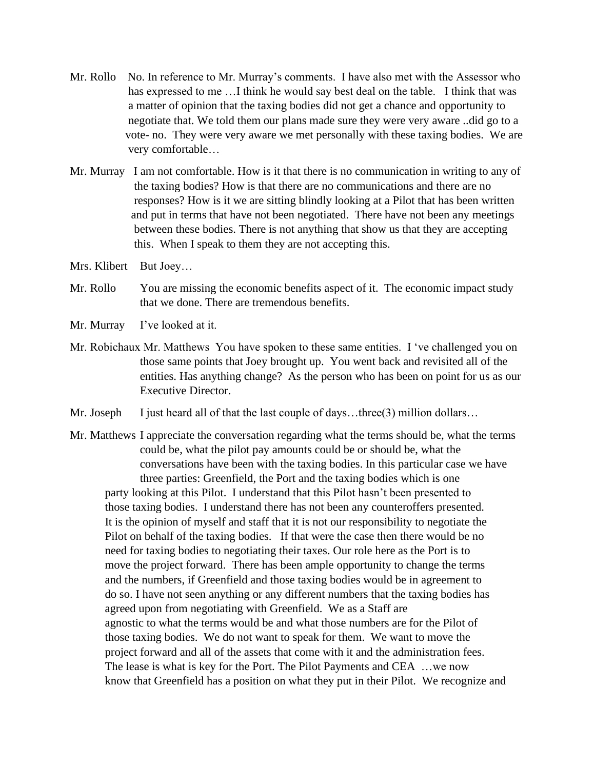- Mr. Rollo No. In reference to Mr. Murray's comments. I have also met with the Assessor who has expressed to me …I think he would say best deal on the table. I think that was a matter of opinion that the taxing bodies did not get a chance and opportunity to negotiate that. We told them our plans made sure they were very aware ..did go to a vote- no. They were very aware we met personally with these taxing bodies. We are very comfortable…
- Mr. Murray I am not comfortable. How is it that there is no communication in writing to any of the taxing bodies? How is that there are no communications and there are no responses? How is it we are sitting blindly looking at a Pilot that has been written and put in terms that have not been negotiated. There have not been any meetings between these bodies. There is not anything that show us that they are accepting this. When I speak to them they are not accepting this.
- Mrs. Klibert But Joey…
- Mr. Rollo You are missing the economic benefits aspect of it. The economic impact study that we done. There are tremendous benefits.
- Mr. Murray I've looked at it.
- Mr. Robichaux Mr. Matthews You have spoken to these same entities. I 've challenged you on those same points that Joey brought up. You went back and revisited all of the entities. Has anything change? As the person who has been on point for us as our Executive Director.
- Mr. Joseph I just heard all of that the last couple of days…three  $(3)$  million dollars…
- Mr. Matthews I appreciate the conversation regarding what the terms should be, what the terms could be, what the pilot pay amounts could be or should be, what the conversations have been with the taxing bodies. In this particular case we have three parties: Greenfield, the Port and the taxing bodies which is one party looking at this Pilot. I understand that this Pilot hasn't been presented to those taxing bodies. I understand there has not been any counteroffers presented. It is the opinion of myself and staff that it is not our responsibility to negotiate the Pilot on behalf of the taxing bodies. If that were the case then there would be no need for taxing bodies to negotiating their taxes. Our role here as the Port is to move the project forward. There has been ample opportunity to change the terms and the numbers, if Greenfield and those taxing bodies would be in agreement to do so. I have not seen anything or any different numbers that the taxing bodies has agreed upon from negotiating with Greenfield. We as a Staff are agnostic to what the terms would be and what those numbers are for the Pilot of those taxing bodies. We do not want to speak for them. We want to move the project forward and all of the assets that come with it and the administration fees. The lease is what is key for the Port. The Pilot Payments and CEA …we now know that Greenfield has a position on what they put in their Pilot. We recognize and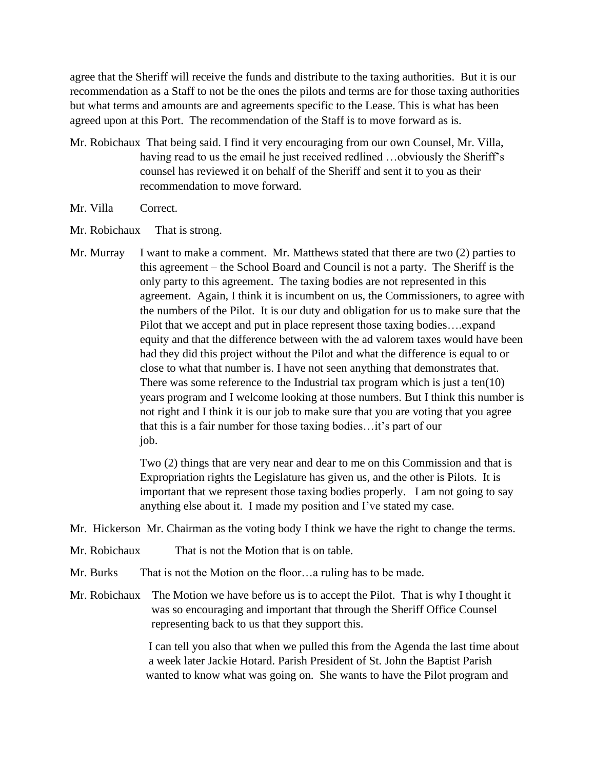agree that the Sheriff will receive the funds and distribute to the taxing authorities. But it is our recommendation as a Staff to not be the ones the pilots and terms are for those taxing authorities but what terms and amounts are and agreements specific to the Lease. This is what has been agreed upon at this Port. The recommendation of the Staff is to move forward as is.

- Mr. Robichaux That being said. I find it very encouraging from our own Counsel, Mr. Villa, having read to us the email he just received redlined ...obviously the Sheriff's counsel has reviewed it on behalf of the Sheriff and sent it to you as their recommendation to move forward.
- Mr. Villa Correct.
- Mr. Robichaux That is strong.
- Mr. Murray I want to make a comment. Mr. Matthews stated that there are two  $(2)$  parties to this agreement – the School Board and Council is not a party. The Sheriff is the only party to this agreement. The taxing bodies are not represented in this agreement. Again, I think it is incumbent on us, the Commissioners, to agree with the numbers of the Pilot. It is our duty and obligation for us to make sure that the Pilot that we accept and put in place represent those taxing bodies….expand equity and that the difference between with the ad valorem taxes would have been had they did this project without the Pilot and what the difference is equal to or close to what that number is. I have not seen anything that demonstrates that. There was some reference to the Industrial tax program which is just a ten(10) years program and I welcome looking at those numbers. But I think this number is not right and I think it is our job to make sure that you are voting that you agree that this is a fair number for those taxing bodies…it's part of our job.

Two (2) things that are very near and dear to me on this Commission and that is Expropriation rights the Legislature has given us, and the other is Pilots. It is important that we represent those taxing bodies properly. I am not going to say anything else about it. I made my position and I've stated my case.

- Mr. Hickerson Mr. Chairman as the voting body I think we have the right to change the terms.
- Mr. Robichaux That is not the Motion that is on table.
- Mr. Burks That is not the Motion on the floor...a ruling has to be made.
- Mr. Robichaux The Motion we have before us is to accept the Pilot. That is why I thought it was so encouraging and important that through the Sheriff Office Counsel representing back to us that they support this.

 I can tell you also that when we pulled this from the Agenda the last time about a week later Jackie Hotard. Parish President of St. John the Baptist Parish wanted to know what was going on. She wants to have the Pilot program and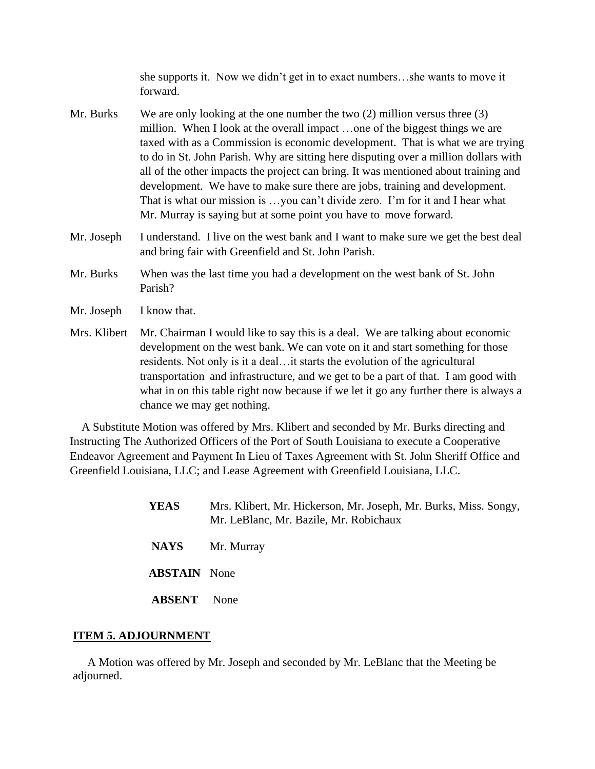she supports it. Now we didn't get in to exact numbers…she wants to move it forward.

- Mr. Burks We are only looking at the one number the two (2) million versus three (3) million. When I look at the overall impact …one of the biggest things we are taxed with as a Commission is economic development. That is what we are trying to do in St. John Parish. Why are sitting here disputing over a million dollars with all of the other impacts the project can bring. It was mentioned about training and development. We have to make sure there are jobs, training and development. That is what our mission is …you can't divide zero. I'm for it and I hear what Mr. Murray is saying but at some point you have to move forward.
- Mr. Joseph I understand. I live on the west bank and I want to make sure we get the best deal and bring fair with Greenfield and St. John Parish.
- Mr. Burks When was the last time you had a development on the west bank of St. John Parish?
- Mr. Joseph I know that.
- Mrs. Klibert Mr. Chairman I would like to say this is a deal. We are talking about economic development on the west bank. We can vote on it and start something for those residents. Not only is it a deal…it starts the evolution of the agricultural transportation and infrastructure, and we get to be a part of that. I am good with what in on this table right now because if we let it go any further there is always a chance we may get nothing.

 A Substitute Motion was offered by Mrs. Klibert and seconded by Mr. Burks directing and Instructing The Authorized Officers of the Port of South Louisiana to execute a Cooperative Endeavor Agreement and Payment In Lieu of Taxes Agreement with St. John Sheriff Office and Greenfield Louisiana, LLC; and Lease Agreement with Greenfield Louisiana, LLC.

| <b>YEAS</b>         | Mrs. Klibert, Mr. Hickerson, Mr. Joseph, Mr. Burks, Miss. Songy,<br>Mr. LeBlanc, Mr. Bazile, Mr. Robichaux |
|---------------------|------------------------------------------------------------------------------------------------------------|
| <b>NAYS</b>         | Mr. Murray                                                                                                 |
| <b>ABSTAIN</b> None |                                                                                                            |
| ABSENT              | <b>None</b>                                                                                                |

#### **ITEM 5. ADJOURNMENT**

 A Motion was offered by Mr. Joseph and seconded by Mr. LeBlanc that the Meeting be adjourned.